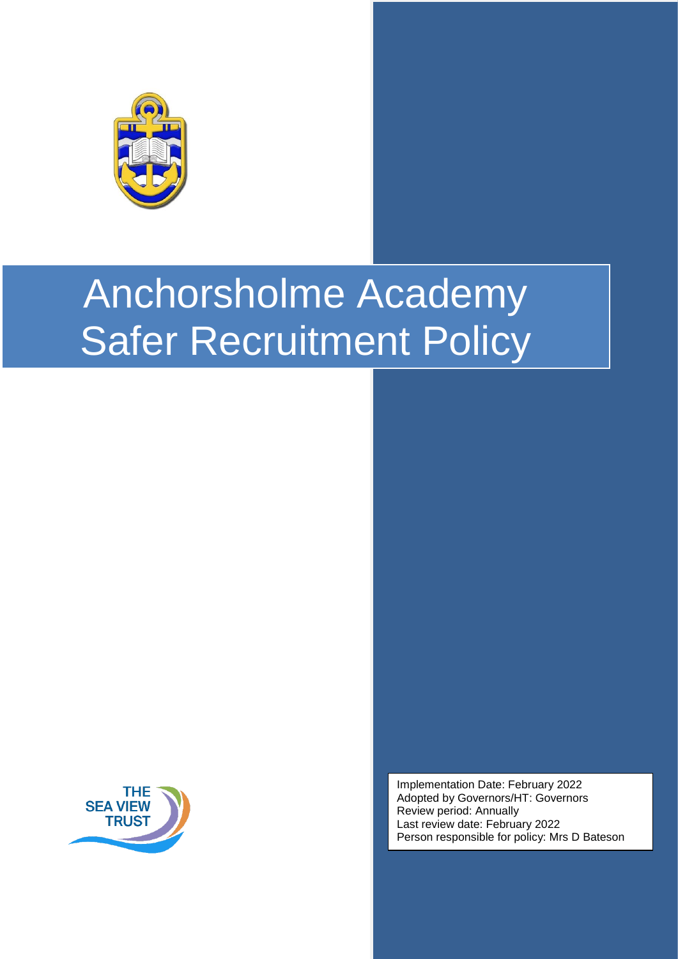



Implementation Date: February 2022 Adopted by Governors/HT: Governors Review period: Annually Last review date: February 2022 Person responsible for policy: Mrs D Bateson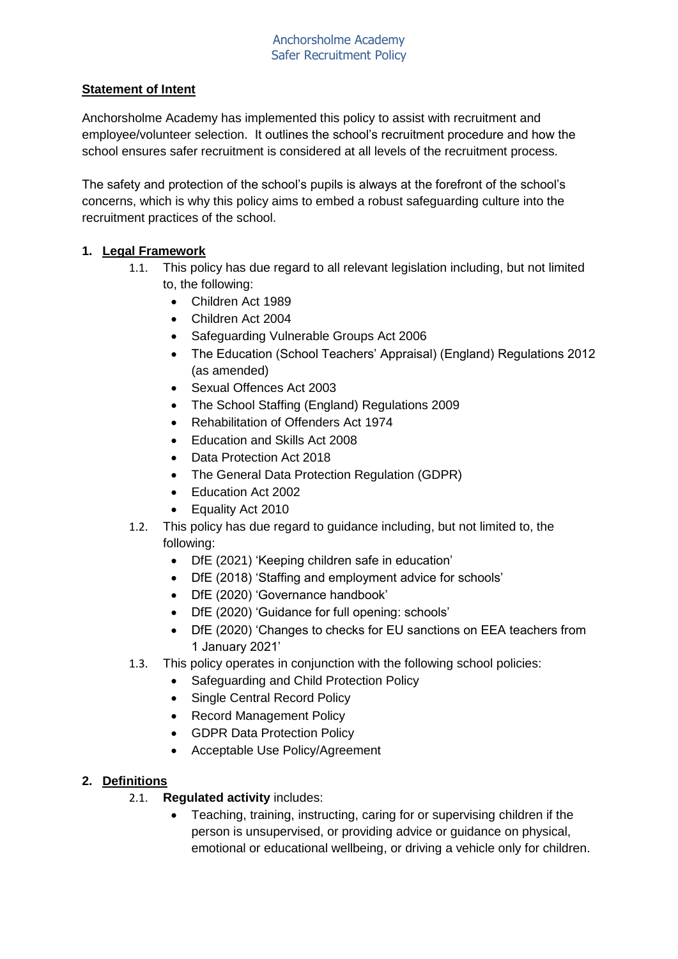## **Statement of Intent**

Anchorsholme Academy has implemented this policy to assist with recruitment and employee/volunteer selection. It outlines the school's recruitment procedure and how the school ensures safer recruitment is considered at all levels of the recruitment process.

The safety and protection of the school's pupils is always at the forefront of the school's concerns, which is why this policy aims to embed a robust safeguarding culture into the recruitment practices of the school.

## <span id="page-1-0"></span>**1. Legal Framework**

- 1.1. This policy has due regard to all relevant legislation including, but not limited to, the following:
	- Children Act 1989
	- Children Act 2004
	- Safeguarding Vulnerable Groups Act 2006
	- The Education (School Teachers' Appraisal) (England) Regulations 2012 (as amended)
	- Sexual Offences Act 2003
	- The School Staffing (England) Regulations 2009
	- Rehabilitation of Offenders Act 1974
	- Education and Skills Act 2008
	- Data Protection Act 2018
	- The General Data Protection Regulation (GDPR)
	- Education Act 2002
	- Equality Act 2010
- 1.2. This policy has due regard to guidance including, but not limited to, the following:
	- DfE (2021) 'Keeping children safe in education'
	- DfE (2018) 'Staffing and employment advice for schools'
	- DfE (2020) 'Governance handbook'
	- DfE (2020) 'Guidance for full opening: schools'
	- DfE (2020) 'Changes to checks for EU sanctions on EEA teachers from 1 January 2021'
- 1.3. This policy operates in conjunction with the following school policies:
	- Safeguarding and Child Protection Policy
	- Single Central Record Policy
	- Record Management Policy
	- GDPR Data Protection Policy
	- Acceptable Use Policy/Agreement

#### **2. Definitions**

- 2.1. **Regulated activity** includes:
	- Teaching, training, instructing, caring for or supervising children if the person is unsupervised, or providing advice or guidance on physical, emotional or educational wellbeing, or driving a vehicle only for children.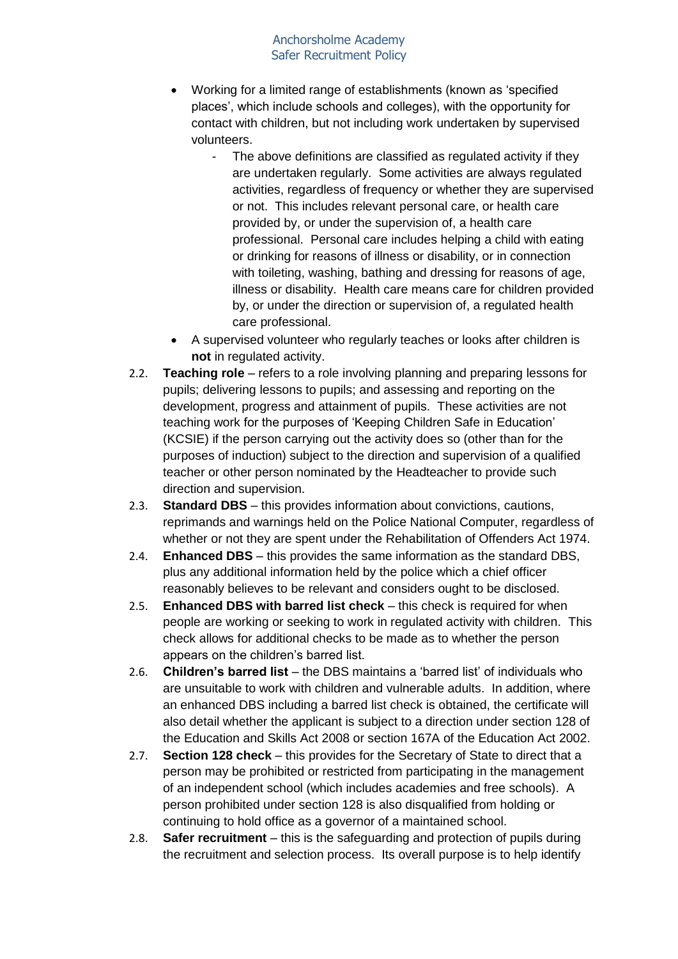- Working for a limited range of establishments (known as 'specified places', which include schools and colleges), with the opportunity for contact with children, but not including work undertaken by supervised volunteers.
	- The above definitions are classified as regulated activity if they are undertaken regularly. Some activities are always regulated activities, regardless of frequency or whether they are supervised or not. This includes relevant personal care, or health care provided by, or under the supervision of, a health care professional. Personal care includes helping a child with eating or drinking for reasons of illness or disability, or in connection with toileting, washing, bathing and dressing for reasons of age, illness or disability. Health care means care for children provided by, or under the direction or supervision of, a regulated health care professional.
- A supervised volunteer who regularly teaches or looks after children is **not** in regulated activity.
- 2.2. **Teaching role**  refers to a role involving planning and preparing lessons for pupils; delivering lessons to pupils; and assessing and reporting on the development, progress and attainment of pupils. These activities are not teaching work for the purposes of 'Keeping Children Safe in Education' (KCSIE) if the person carrying out the activity does so (other than for the purposes of induction) subject to the direction and supervision of a qualified teacher or other person nominated by the Headteacher to provide such direction and supervision.
- 2.3. **Standard DBS**  this provides information about convictions, cautions, reprimands and warnings held on the Police National Computer, regardless of whether or not they are spent under the Rehabilitation of Offenders Act 1974.
- 2.4. **Enhanced DBS** this provides the same information as the standard DBS, plus any additional information held by the police which a chief officer reasonably believes to be relevant and considers ought to be disclosed.
- 2.5. **Enhanced DBS with barred list check**  this check is required for when people are working or seeking to work in regulated activity with children. This check allows for additional checks to be made as to whether the person appears on the children's barred list.
- 2.6. **Children's barred list**  the DBS maintains a 'barred list' of individuals who are unsuitable to work with children and vulnerable adults. In addition, where an enhanced DBS including a barred list check is obtained, the certificate will also detail whether the applicant is subject to a direction under section 128 of the Education and Skills Act 2008 or section 167A of the Education Act 2002.
- 2.7. **Section 128 check**  this provides for the Secretary of State to direct that a person may be prohibited or restricted from participating in the management of an independent school (which includes academies and free schools). A person prohibited under section 128 is also disqualified from holding or continuing to hold office as a governor of a maintained school.
- 2.8. **Safer recruitment**  this is the safeguarding and protection of pupils during the recruitment and selection process. Its overall purpose is to help identify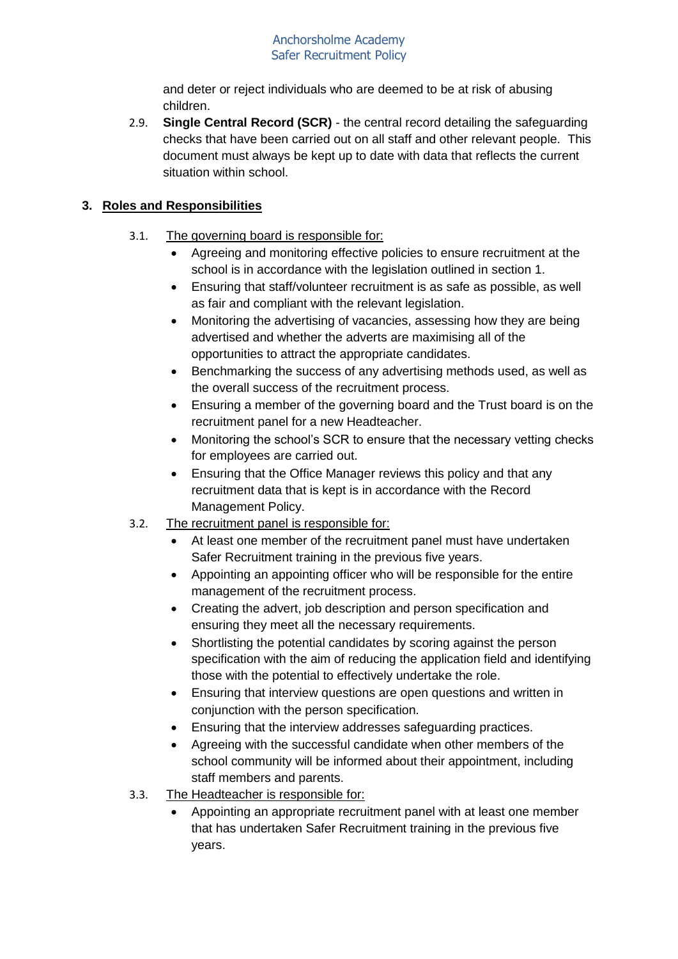and deter or reject individuals who are deemed to be at risk of abusing children.

2.9. **Single Central Record (SCR)** - the central record detailing the safeguarding checks that have been carried out on all staff and other relevant people. This document must always be kept up to date with data that reflects the current situation within school.

# **3. Roles and Responsibilities**

- 3.1. The governing board is responsible for:
	- Agreeing and monitoring effective policies to ensure recruitment at the school is in accordance with the legislation outlined in [section 1.](#page-1-0)
	- Ensuring that staff/volunteer recruitment is as safe as possible, as well as fair and compliant with the relevant legislation.
	- Monitoring the advertising of vacancies, assessing how they are being advertised and whether the adverts are maximising all of the opportunities to attract the appropriate candidates.
	- Benchmarking the success of any advertising methods used, as well as the overall success of the recruitment process.
	- Ensuring a member of the governing board and the Trust board is on the recruitment panel for a new Headteacher.
	- Monitoring the school's SCR to ensure that the necessary vetting checks for employees are carried out.
	- Ensuring that the Office Manager reviews this policy and that any recruitment data that is kept is in accordance with the Record Management Policy.
- 3.2. The recruitment panel is responsible for:
	- At least one member of the recruitment panel must have undertaken Safer Recruitment training in the previous five years.
	- Appointing an appointing officer who will be responsible for the entire management of the recruitment process.
	- Creating the advert, job description and person specification and ensuring they meet all the necessary requirements.
	- Shortlisting the potential candidates by scoring against the person specification with the aim of reducing the application field and identifying those with the potential to effectively undertake the role.
	- Ensuring that interview questions are open questions and written in conjunction with the person specification.
	- Ensuring that the interview addresses safeguarding practices.
	- Agreeing with the successful candidate when other members of the school community will be informed about their appointment, including staff members and parents.
- 3.3. The Headteacher is responsible for:
	- Appointing an appropriate recruitment panel with at least one member that has undertaken Safer Recruitment training in the previous five years.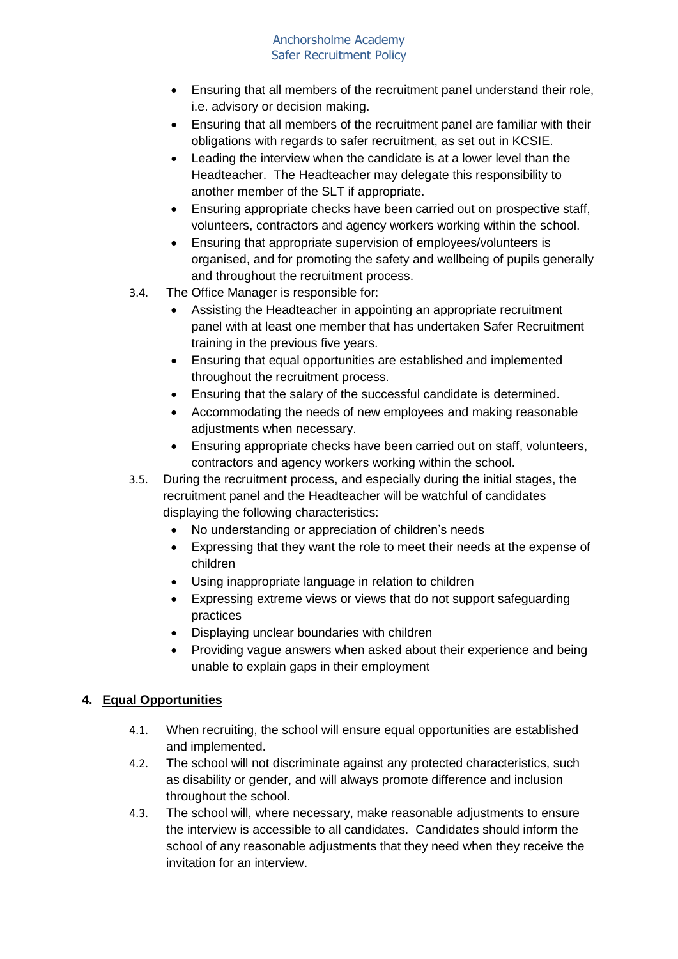- Ensuring that all members of the recruitment panel understand their role, i.e. advisory or decision making.
- Ensuring that all members of the recruitment panel are familiar with their obligations with regards to safer recruitment, as set out in KCSIE.
- Leading the interview when the candidate is at a lower level than the Headteacher. The Headteacher may delegate this responsibility to another member of the SLT if appropriate.
- Ensuring appropriate checks have been carried out on prospective staff, volunteers, contractors and agency workers working within the school.
- Ensuring that appropriate supervision of employees/volunteers is organised, and for promoting the safety and wellbeing of pupils generally and throughout the recruitment process.
- 3.4. The Office Manager is responsible for:
	- Assisting the Headteacher in appointing an appropriate recruitment panel with at least one member that has undertaken Safer Recruitment training in the previous five years.
	- Ensuring that equal opportunities are established and implemented throughout the recruitment process.
	- Ensuring that the salary of the successful candidate is determined.
	- Accommodating the needs of new employees and making reasonable adjustments when necessary.
	- Ensuring appropriate checks have been carried out on staff, volunteers, contractors and agency workers working within the school.
- 3.5. During the recruitment process, and especially during the initial stages, the recruitment panel and the Headteacher will be watchful of candidates displaying the following characteristics:
	- No understanding or appreciation of children's needs
	- Expressing that they want the role to meet their needs at the expense of children
	- Using inappropriate language in relation to children
	- Expressing extreme views or views that do not support safeguarding practices
	- Displaying unclear boundaries with children
	- Providing vague answers when asked about their experience and being unable to explain gaps in their employment

## **4. Equal Opportunities**

- 4.1. When recruiting, the school will ensure equal opportunities are established and implemented.
- 4.2. The school will not discriminate against any protected characteristics, such as disability or gender, and will always promote difference and inclusion throughout the school.
- 4.3. The school will, where necessary, make reasonable adjustments to ensure the interview is accessible to all candidates. Candidates should inform the school of any reasonable adjustments that they need when they receive the invitation for an interview.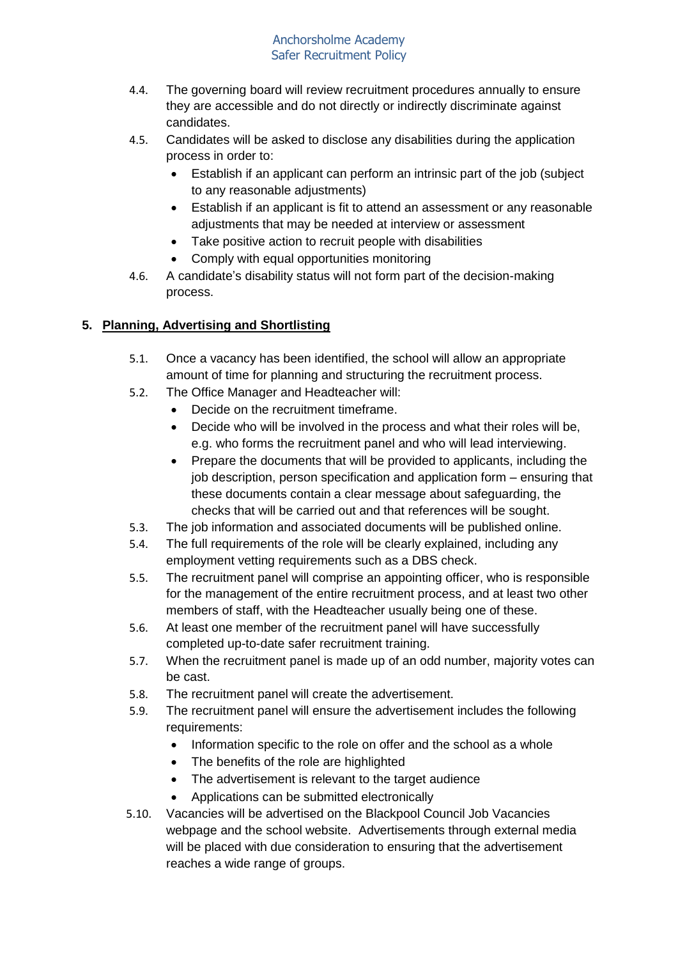- 4.4. The governing board will review recruitment procedures annually to ensure they are accessible and do not directly or indirectly discriminate against candidates.
- 4.5. Candidates will be asked to disclose any disabilities during the application process in order to:
	- Establish if an applicant can perform an intrinsic part of the job (subject to any reasonable adjustments)
	- Establish if an applicant is fit to attend an assessment or any reasonable adjustments that may be needed at interview or assessment
	- Take positive action to recruit people with disabilities
	- Comply with equal opportunities monitoring
- 4.6. A candidate's disability status will not form part of the decision-making process.

# **5. Planning, Advertising and Shortlisting**

- 5.1. Once a vacancy has been identified, the school will allow an appropriate amount of time for planning and structuring the recruitment process.
- 5.2. The Office Manager and Headteacher will:
	- Decide on the recruitment timeframe.
	- Decide who will be involved in the process and what their roles will be, e.g. who forms the recruitment panel and who will lead interviewing.
	- Prepare the documents that will be provided to applicants, including the job description, person specification and application form – ensuring that these documents contain a clear message about safeguarding, the checks that will be carried out and that references will be sought.
- 5.3. The job information and associated documents will be published online.
- 5.4. The full requirements of the role will be clearly explained, including any employment vetting requirements such as a DBS check.
- 5.5. The recruitment panel will comprise an appointing officer, who is responsible for the management of the entire recruitment process, and at least two other members of staff, with the Headteacher usually being one of these.
- 5.6. At least one member of the recruitment panel will have successfully completed up-to-date safer recruitment training.
- 5.7. When the recruitment panel is made up of an odd number, majority votes can be cast.
- 5.8. The recruitment panel will create the advertisement.
- 5.9. The recruitment panel will ensure the advertisement includes the following requirements:
	- Information specific to the role on offer and the school as a whole
	- The benefits of the role are highlighted
	- The advertisement is relevant to the target audience
	- Applications can be submitted electronically
- 5.10. Vacancies will be advertised on the Blackpool Council Job Vacancies webpage and the school website. Advertisements through external media will be placed with due consideration to ensuring that the advertisement reaches a wide range of groups.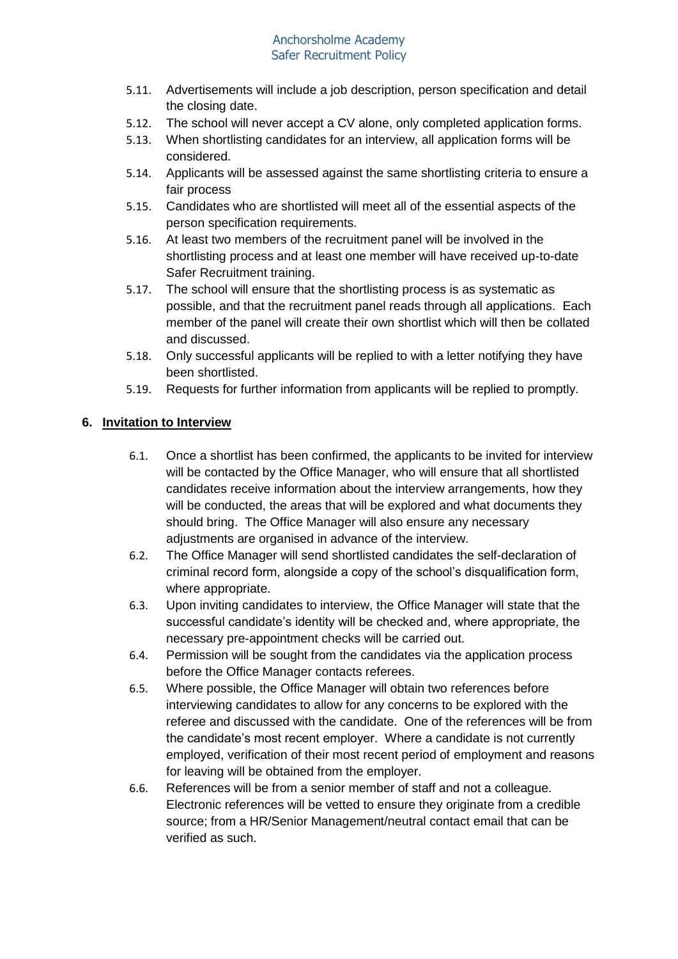- 5.11. Advertisements will include a job description, person specification and detail the closing date.
- 5.12. The school will never accept a CV alone, only completed application forms.
- 5.13. When shortlisting candidates for an interview, all application forms will be considered.
- 5.14. Applicants will be assessed against the same shortlisting criteria to ensure a fair process
- 5.15. Candidates who are shortlisted will meet all of the essential aspects of the person specification requirements.
- 5.16. At least two members of the recruitment panel will be involved in the shortlisting process and at least one member will have received up-to-date Safer Recruitment training.
- 5.17. The school will ensure that the shortlisting process is as systematic as possible, and that the recruitment panel reads through all applications. Each member of the panel will create their own shortlist which will then be collated and discussed.
- 5.18. Only successful applicants will be replied to with a letter notifying they have been shortlisted.
- 5.19. Requests for further information from applicants will be replied to promptly.

## **6. Invitation to Interview**

- 6.1. Once a shortlist has been confirmed, the applicants to be invited for interview will be contacted by the Office Manager, who will ensure that all shortlisted candidates receive information about the interview arrangements, how they will be conducted, the areas that will be explored and what documents they should bring. The Office Manager will also ensure any necessary adjustments are organised in advance of the interview.
- 6.2. The Office Manager will send shortlisted candidates the self-declaration of criminal record form, alongside a copy of the school's disqualification form, where appropriate.
- 6.3. Upon inviting candidates to interview, the Office Manager will state that the successful candidate's identity will be checked and, where appropriate, the necessary pre-appointment checks will be carried out.
- 6.4. Permission will be sought from the candidates via the application process before the Office Manager contacts referees.
- 6.5. Where possible, the Office Manager will obtain two references before interviewing candidates to allow for any concerns to be explored with the referee and discussed with the candidate. One of the references will be from the candidate's most recent employer. Where a candidate is not currently employed, verification of their most recent period of employment and reasons for leaving will be obtained from the employer.
- 6.6. References will be from a senior member of staff and not a colleague. Electronic references will be vetted to ensure they originate from a credible source; from a HR/Senior Management/neutral contact email that can be verified as such.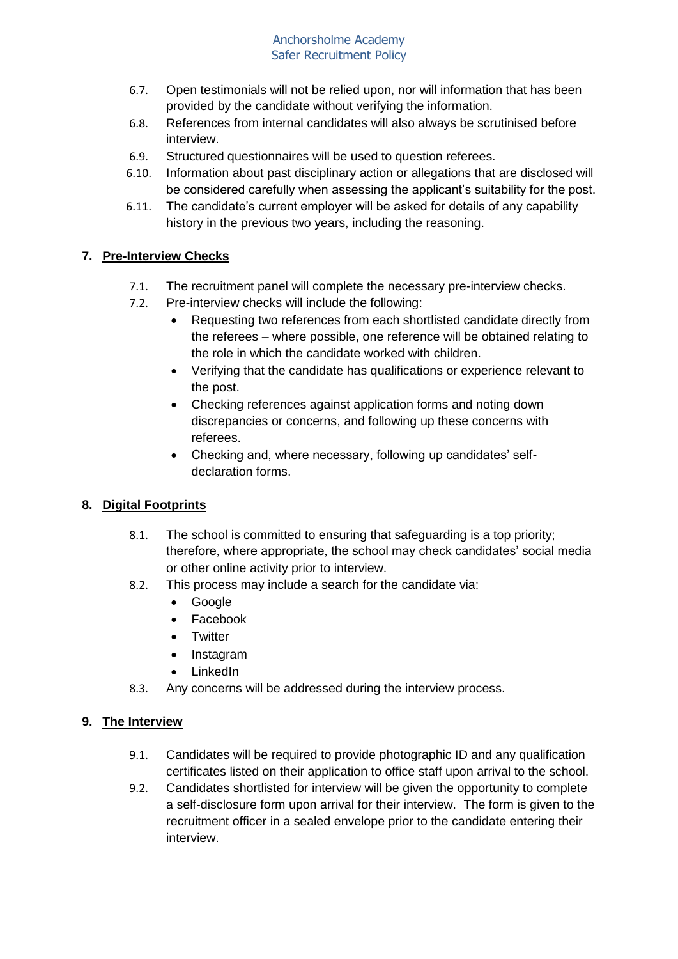- 6.7. Open testimonials will not be relied upon, nor will information that has been provided by the candidate without verifying the information.
- 6.8. References from internal candidates will also always be scrutinised before interview.
- 6.9. Structured questionnaires will be used to question referees.
- 6.10. Information about past disciplinary action or allegations that are disclosed will be considered carefully when assessing the applicant's suitability for the post.
- 6.11. The candidate's current employer will be asked for details of any capability history in the previous two years, including the reasoning.

# **7. Pre-Interview Checks**

- 7.1. The recruitment panel will complete the necessary pre-interview checks.
- 7.2. Pre-interview checks will include the following:
	- Requesting two references from each shortlisted candidate directly from the referees – where possible, one reference will be obtained relating to the role in which the candidate worked with children.
	- Verifying that the candidate has qualifications or experience relevant to the post.
	- Checking references against application forms and noting down discrepancies or concerns, and following up these concerns with referees.
	- Checking and, where necessary, following up candidates' selfdeclaration forms.

## **8. Digital Footprints**

- 8.1. The school is committed to ensuring that safeguarding is a top priority; therefore, where appropriate, the school may check candidates' social media or other online activity prior to interview.
- 8.2. This process may include a search for the candidate via:
	- Google
	- Facebook
	- Twitter
	- Instagram
	- LinkedIn
- 8.3. Any concerns will be addressed during the interview process.

## **9. The Interview**

- 9.1. Candidates will be required to provide photographic ID and any qualification certificates listed on their application to office staff upon arrival to the school.
- 9.2. Candidates shortlisted for interview will be given the opportunity to complete a self-disclosure form upon arrival for their interview. The form is given to the recruitment officer in a sealed envelope prior to the candidate entering their interview.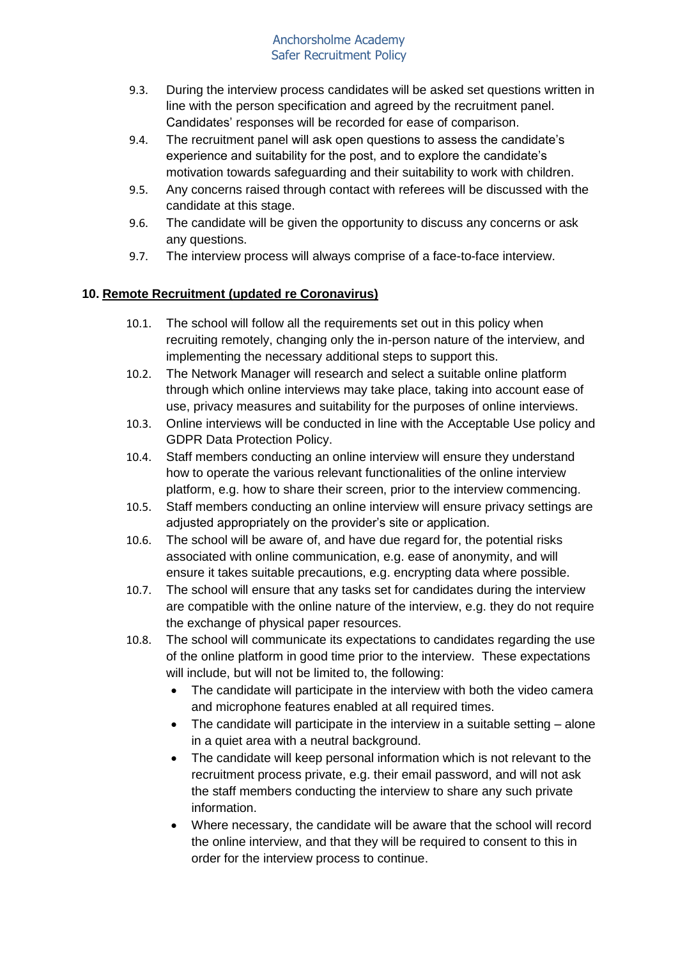- 9.3. During the interview process candidates will be asked set questions written in line with the person specification and agreed by the recruitment panel. Candidates' responses will be recorded for ease of comparison.
- 9.4. The recruitment panel will ask open questions to assess the candidate's experience and suitability for the post, and to explore the candidate's motivation towards safeguarding and their suitability to work with children.
- 9.5. Any concerns raised through contact with referees will be discussed with the candidate at this stage.
- 9.6. The candidate will be given the opportunity to discuss any concerns or ask any questions.
- 9.7. The interview process will always comprise of a face-to-face interview.

# **10. Remote Recruitment (updated re Coronavirus)**

- 10.1. The school will follow all the requirements set out in this policy when recruiting remotely, changing only the in-person nature of the interview, and implementing the necessary additional steps to support this.
- 10.2. The Network Manager will research and select a suitable online platform through which online interviews may take place, taking into account ease of use, privacy measures and suitability for the purposes of online interviews.
- 10.3. Online interviews will be conducted in line with the Acceptable Use policy and GDPR Data Protection Policy.
- 10.4. Staff members conducting an online interview will ensure they understand how to operate the various relevant functionalities of the online interview platform, e.g. how to share their screen, prior to the interview commencing.
- 10.5. Staff members conducting an online interview will ensure privacy settings are adjusted appropriately on the provider's site or application.
- 10.6. The school will be aware of, and have due regard for, the potential risks associated with online communication, e.g. ease of anonymity, and will ensure it takes suitable precautions, e.g. encrypting data where possible.
- 10.7. The school will ensure that any tasks set for candidates during the interview are compatible with the online nature of the interview, e.g. they do not require the exchange of physical paper resources.
- 10.8. The school will communicate its expectations to candidates regarding the use of the online platform in good time prior to the interview. These expectations will include, but will not be limited to, the following:
	- The candidate will participate in the interview with both the video camera and microphone features enabled at all required times.
	- The candidate will participate in the interview in a suitable setting alone in a quiet area with a neutral background.
	- The candidate will keep personal information which is not relevant to the recruitment process private, e.g. their email password, and will not ask the staff members conducting the interview to share any such private information.
	- Where necessary, the candidate will be aware that the school will record the online interview, and that they will be required to consent to this in order for the interview process to continue.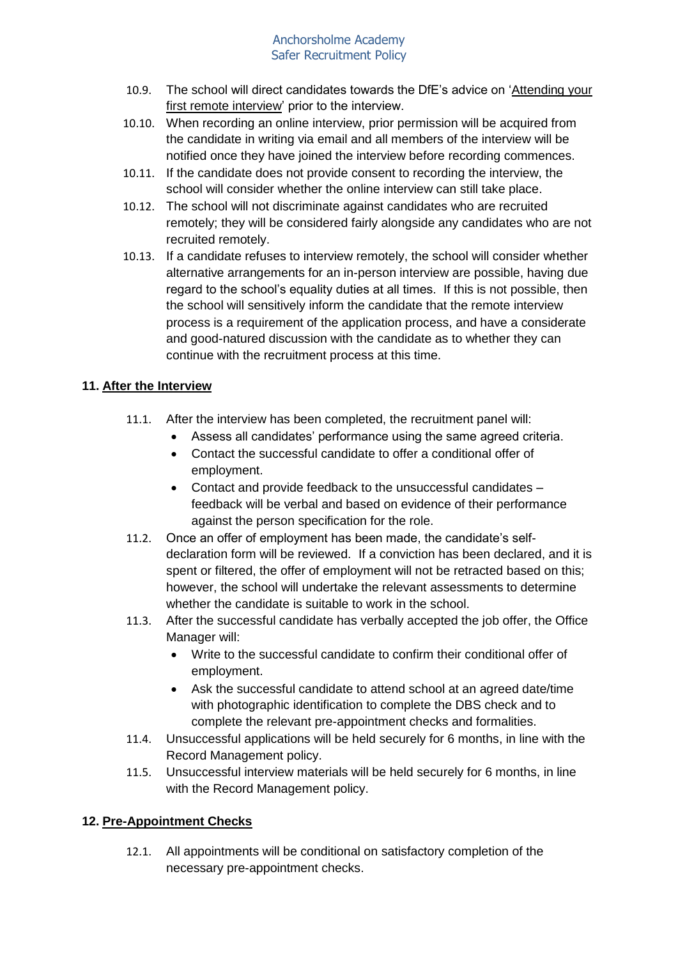- 10.9. The school will direct candidates towards the DfE's advice on ['Attending your](https://teaching.blog.gov.uk/2020/06/12/attending-your-first-remote-interview/)  [first remote interview'](https://teaching.blog.gov.uk/2020/06/12/attending-your-first-remote-interview/) prior to the interview.
- 10.10. When recording an online interview, prior permission will be acquired from the candidate in writing via email and all members of the interview will be notified once they have joined the interview before recording commences.
- 10.11. If the candidate does not provide consent to recording the interview, the school will consider whether the online interview can still take place.
- 10.12. The school will not discriminate against candidates who are recruited remotely; they will be considered fairly alongside any candidates who are not recruited remotely.
- 10.13. If a candidate refuses to interview remotely, the school will consider whether alternative arrangements for an in-person interview are possible, having due regard to the school's equality duties at all times. If this is not possible, then the school will sensitively inform the candidate that the remote interview process is a requirement of the application process, and have a considerate and good-natured discussion with the candidate as to whether they can continue with the recruitment process at this time.

# **11. After the Interview**

- 11.1. After the interview has been completed, the recruitment panel will:
	- Assess all candidates' performance using the same agreed criteria.
	- Contact the successful candidate to offer a conditional offer of employment.
	- Contact and provide feedback to the unsuccessful candidates feedback will be verbal and based on evidence of their performance against the person specification for the role.
- 11.2. Once an offer of employment has been made, the candidate's selfdeclaration form will be reviewed. If a conviction has been declared, and it is spent or filtered, the offer of employment will not be retracted based on this; however, the school will undertake the relevant assessments to determine whether the candidate is suitable to work in the school.
- 11.3. After the successful candidate has verbally accepted the job offer, the Office Manager will:
	- Write to the successful candidate to confirm their conditional offer of employment.
	- Ask the successful candidate to attend school at an agreed date/time with photographic identification to complete the DBS check and to complete the relevant pre-appointment checks and formalities.
- 11.4. Unsuccessful applications will be held securely for 6 months, in line with the Record Management policy.
- 11.5. Unsuccessful interview materials will be held securely for 6 months, in line with the Record Management policy.

## **12. Pre-Appointment Checks**

12.1. All appointments will be conditional on satisfactory completion of the necessary pre-appointment checks.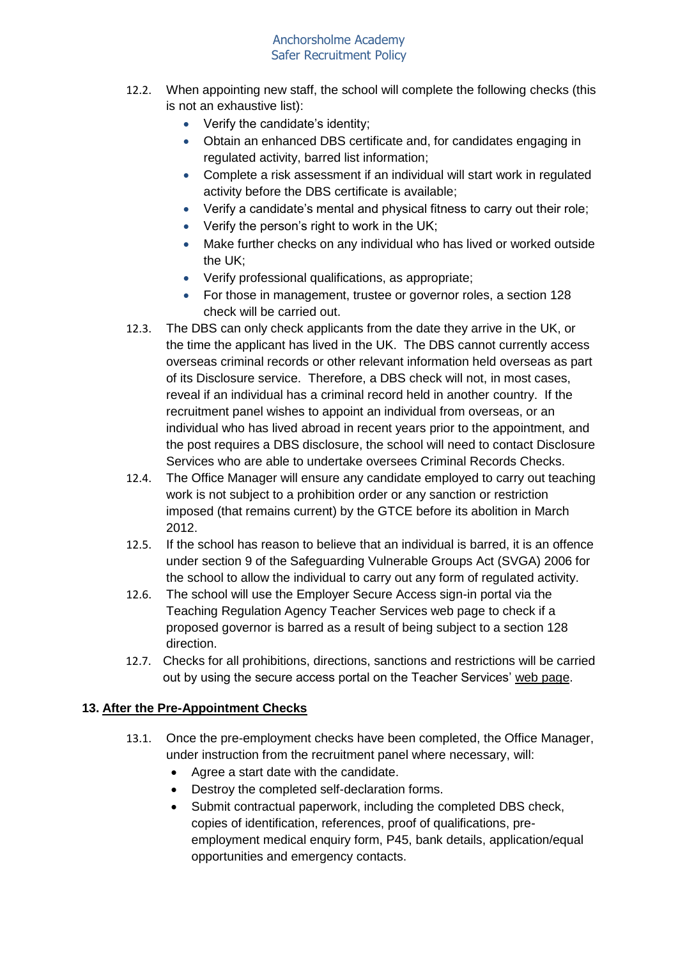- 12.2. When appointing new staff, the school will complete the following checks (this is not an exhaustive list):
	- Verify the candidate's identity;
	- Obtain an enhanced DBS certificate and, for candidates engaging in regulated activity, barred list information;
	- Complete a risk assessment if an individual will start work in regulated activity before the DBS certificate is available;
	- Verify a candidate's mental and physical fitness to carry out their role;
	- Verify the person's right to work in the UK;
	- Make further checks on any individual who has lived or worked outside the UK;
	- Verify professional qualifications, as appropriate;
	- For those in management, trustee or governor roles, a section 128 check will be carried out.
- 12.3. The DBS can only check applicants from the date they arrive in the UK, or the time the applicant has lived in the UK. The DBS cannot currently access overseas criminal records or other relevant information held overseas as part of its Disclosure service. Therefore, a DBS check will not, in most cases, reveal if an individual has a criminal record held in another country. If the recruitment panel wishes to appoint an individual from overseas, or an individual who has lived abroad in recent years prior to the appointment, and the post requires a DBS disclosure, the school will need to contact Disclosure Services who are able to undertake oversees Criminal Records Checks.
- 12.4. The Office Manager will ensure any candidate employed to carry out teaching work is not subject to a prohibition order or any sanction or restriction imposed (that remains current) by the GTCE before its abolition in March 2012.
- 12.5. If the school has reason to believe that an individual is barred, it is an offence under section 9 of the Safeguarding Vulnerable Groups Act (SVGA) 2006 for the school to allow the individual to carry out any form of regulated activity.
- 12.6. The school will use the Employer Secure Access sign-in portal via the Teaching Regulation Agency Teacher Services web page to check if a proposed governor is barred as a result of being subject to a section 128 direction.
- 12.7. Checks for all prohibitions, directions, sanctions and restrictions will be carried out by using the secure access portal on the Teacher Services' [web page.](https://teacherservices.education.gov.uk/)

## **13. After the Pre-Appointment Checks**

- 13.1. Once the pre-employment checks have been completed, the Office Manager, under instruction from the recruitment panel where necessary, will:
	- Agree a start date with the candidate.
	- Destroy the completed self-declaration forms.
	- Submit contractual paperwork, including the completed DBS check, copies of identification, references, proof of qualifications, preemployment medical enquiry form, P45, bank details, application/equal opportunities and emergency contacts.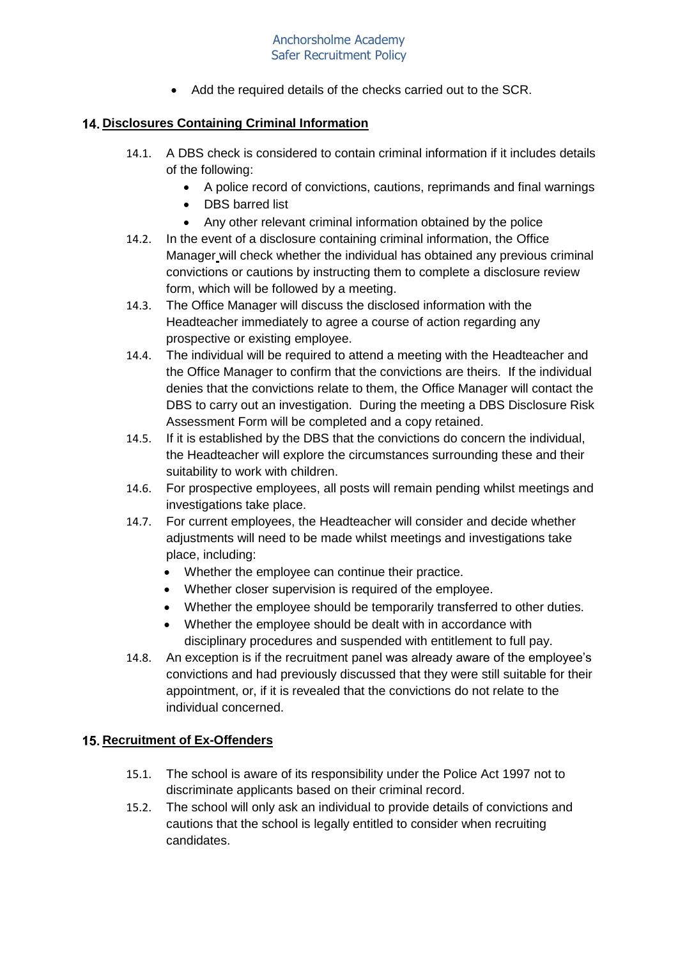• Add the required details of the checks carried out to the SCR.

## **Disclosures Containing Criminal Information**

- 14.1. A DBS check is considered to contain criminal information if it includes details of the following:
	- A police record of convictions, cautions, reprimands and final warnings
	- DBS barred list
	- Any other relevant criminal information obtained by the police
- 14.2. In the event of a disclosure containing criminal information, the Office Manager will check whether the individual has obtained any previous criminal convictions or cautions by instructing them to complete a disclosure review form, which will be followed by a meeting.
- 14.3. The Office Manager will discuss the disclosed information with the Headteacher immediately to agree a course of action regarding any prospective or existing employee.
- 14.4. The individual will be required to attend a meeting with the Headteacher and the Office Manager to confirm that the convictions are theirs. If the individual denies that the convictions relate to them, the Office Manager will contact the DBS to carry out an investigation. During the meeting a DBS Disclosure Risk Assessment Form will be completed and a copy retained.
- 14.5. If it is established by the DBS that the convictions do concern the individual, the Headteacher will explore the circumstances surrounding these and their suitability to work with children.
- 14.6. For prospective employees, all posts will remain pending whilst meetings and investigations take place.
- 14.7. For current employees, the Headteacher will consider and decide whether adjustments will need to be made whilst meetings and investigations take place, including:
	- Whether the employee can continue their practice.
	- Whether closer supervision is required of the employee.
	- Whether the employee should be temporarily transferred to other duties.
	- Whether the employee should be dealt with in accordance with disciplinary procedures and suspended with entitlement to full pay.
- 14.8. An exception is if the recruitment panel was already aware of the employee's convictions and had previously discussed that they were still suitable for their appointment, or, if it is revealed that the convictions do not relate to the individual concerned.

#### **15. Recruitment of Ex-Offenders**

- 15.1. The school is aware of its responsibility under the Police Act 1997 not to discriminate applicants based on their criminal record.
- 15.2. The school will only ask an individual to provide details of convictions and cautions that the school is legally entitled to consider when recruiting candidates.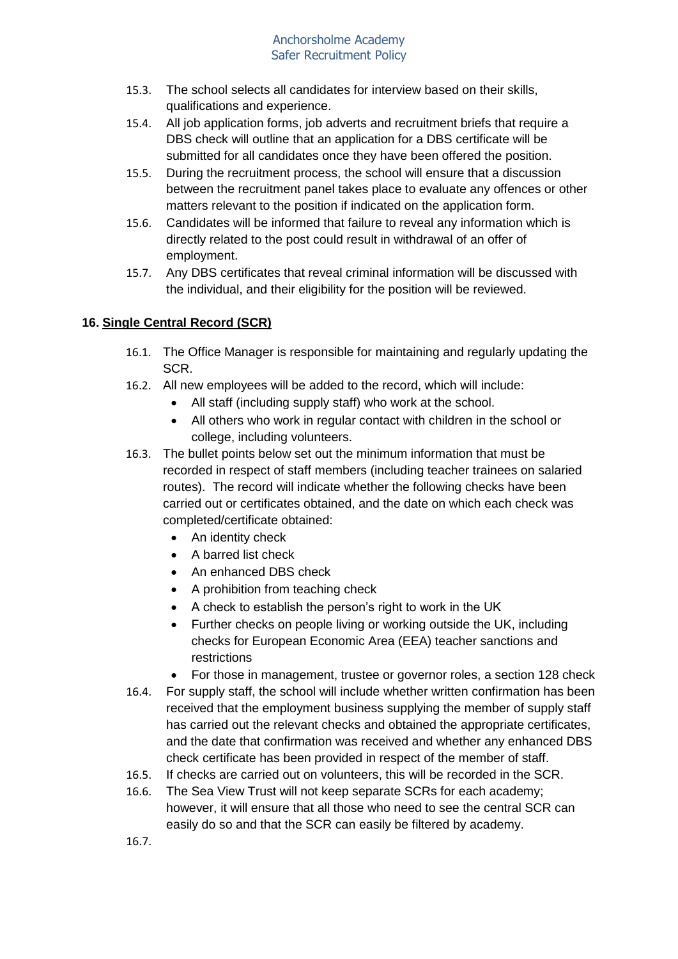- 15.3. The school selects all candidates for interview based on their skills, qualifications and experience.
- 15.4. All job application forms, job adverts and recruitment briefs that require a DBS check will outline that an application for a DBS certificate will be submitted for all candidates once they have been offered the position.
- 15.5. During the recruitment process, the school will ensure that a discussion between the recruitment panel takes place to evaluate any offences or other matters relevant to the position if indicated on the application form.
- 15.6. Candidates will be informed that failure to reveal any information which is directly related to the post could result in withdrawal of an offer of employment.
- 15.7. Any DBS certificates that reveal criminal information will be discussed with the individual, and their eligibility for the position will be reviewed.

# **16. Single Central Record (SCR)**

- 16.1. The Office Manager is responsible for maintaining and regularly updating the SCR.
- 16.2. All new employees will be added to the record, which will include:
	- All staff (including supply staff) who work at the school.
	- All others who work in regular contact with children in the school or college, including volunteers.
- 16.3. The bullet points below set out the minimum information that must be recorded in respect of staff members (including teacher trainees on salaried routes). The record will indicate whether the following checks have been carried out or certificates obtained, and the date on which each check was completed/certificate obtained:
	- An identity check
	- A barred list check
	- An enhanced DBS check
	- A prohibition from teaching check
	- A check to establish the person's right to work in the UK
	- Further checks on people living or working outside the UK, including checks for European Economic Area (EEA) teacher sanctions and restrictions
	- For those in management, trustee or governor roles, a section 128 check
- 16.4. For supply staff, the school will include whether written confirmation has been received that the employment business supplying the member of supply staff has carried out the relevant checks and obtained the appropriate certificates, and the date that confirmation was received and whether any enhanced DBS check certificate has been provided in respect of the member of staff.
- 16.5. If checks are carried out on volunteers, this will be recorded in the SCR.
- 16.6. The Sea View Trust will not keep separate SCRs for each academy; however, it will ensure that all those who need to see the central SCR can easily do so and that the SCR can easily be filtered by academy.
- 16.7.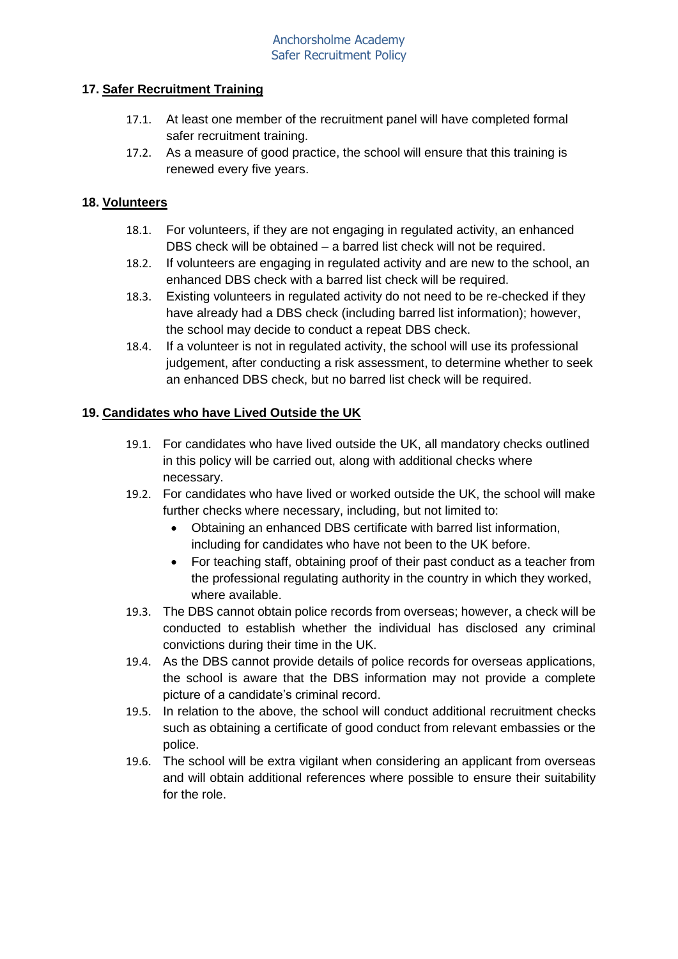#### **17. Safer Recruitment Training**

- 17.1. At least one member of the recruitment panel will have completed formal safer recruitment training.
- 17.2. As a measure of good practice, the school will ensure that this training is renewed every five years.

## **18. Volunteers**

- 18.1. For volunteers, if they are not engaging in regulated activity, an enhanced DBS check will be obtained – a barred list check will not be required.
- 18.2. If volunteers are engaging in regulated activity and are new to the school, an enhanced DBS check with a barred list check will be required.
- 18.3. Existing volunteers in regulated activity do not need to be re-checked if they have already had a DBS check (including barred list information); however, the school may decide to conduct a repeat DBS check.
- 18.4. If a volunteer is not in regulated activity, the school will use its professional judgement, after conducting a risk assessment, to determine whether to seek an enhanced DBS check, but no barred list check will be required.

### **19. Candidates who have Lived Outside the UK**

- 19.1. For candidates who have lived outside the UK, all mandatory checks outlined in this policy will be carried out, along with additional checks where necessary.
- 19.2. For candidates who have lived or worked outside the UK, the school will make further checks where necessary, including, but not limited to:
	- Obtaining an enhanced DBS certificate with barred list information, including for candidates who have not been to the UK before.
	- For teaching staff, obtaining proof of their past conduct as a teacher from the professional regulating authority in the country in which they worked, where available.
- 19.3. The DBS cannot obtain police records from overseas; however, a check will be conducted to establish whether the individual has disclosed any criminal convictions during their time in the UK.
- 19.4. As the DBS cannot provide details of police records for overseas applications, the school is aware that the DBS information may not provide a complete picture of a candidate's criminal record.
- 19.5. In relation to the above, the school will conduct additional recruitment checks such as obtaining a certificate of good conduct from relevant embassies or the police.
- 19.6. The school will be extra vigilant when considering an applicant from overseas and will obtain additional references where possible to ensure their suitability for the role.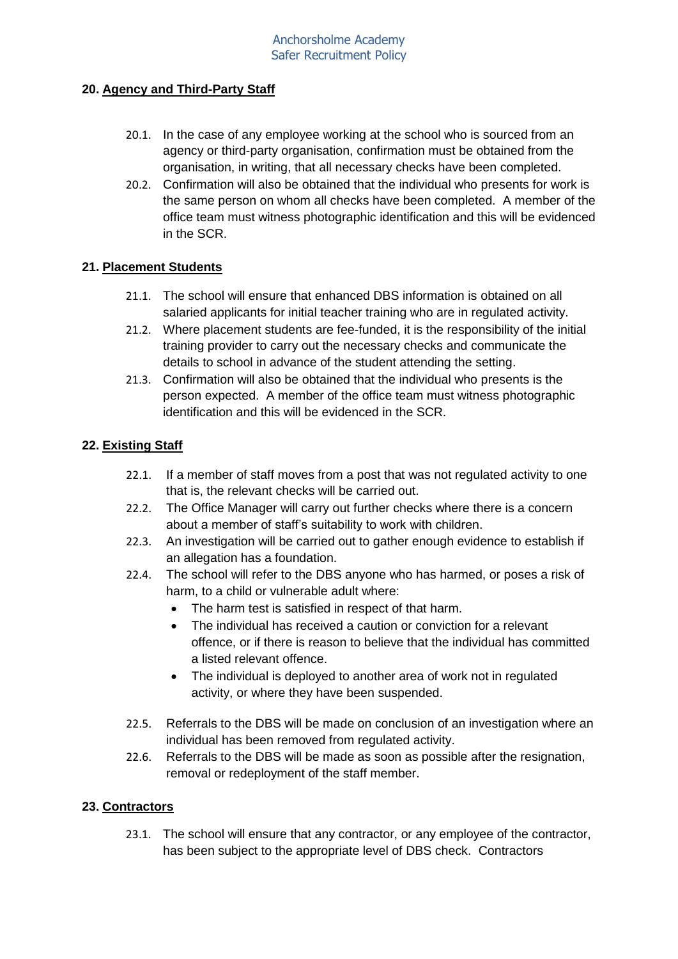## **20. Agency and Third-Party Staff**

- 20.1. In the case of any employee working at the school who is sourced from an agency or third-party organisation, confirmation must be obtained from the organisation, in writing, that all necessary checks have been completed.
- 20.2. Confirmation will also be obtained that the individual who presents for work is the same person on whom all checks have been completed. A member of the office team must witness photographic identification and this will be evidenced in the SCR.

## **21. Placement Students**

- 21.1. The school will ensure that enhanced DBS information is obtained on all salaried applicants for initial teacher training who are in regulated activity.
- 21.2. Where placement students are fee-funded, it is the responsibility of the initial training provider to carry out the necessary checks and communicate the details to school in advance of the student attending the setting.
- 21.3. Confirmation will also be obtained that the individual who presents is the person expected. A member of the office team must witness photographic identification and this will be evidenced in the SCR.

### **22. Existing Staff**

- 22.1. If a member of staff moves from a post that was not regulated activity to one that is, the relevant checks will be carried out.
- 22.2. The Office Manager will carry out further checks where there is a concern about a member of staff's suitability to work with children.
- 22.3. An investigation will be carried out to gather enough evidence to establish if an allegation has a foundation.
- 22.4. The school will refer to the DBS anyone who has harmed, or poses a risk of harm, to a child or vulnerable adult where:
	- The harm test is satisfied in respect of that harm.
	- The individual has received a caution or conviction for a relevant offence, or if there is reason to believe that the individual has committed a listed relevant offence.
	- The individual is deployed to another area of work not in regulated activity, or where they have been suspended.
- 22.5. Referrals to the DBS will be made on conclusion of an investigation where an individual has been removed from regulated activity.
- 22.6. Referrals to the DBS will be made as soon as possible after the resignation, removal or redeployment of the staff member.

## **23. Contractors**

23.1. The school will ensure that any contractor, or any employee of the contractor, has been subject to the appropriate level of DBS check. Contractors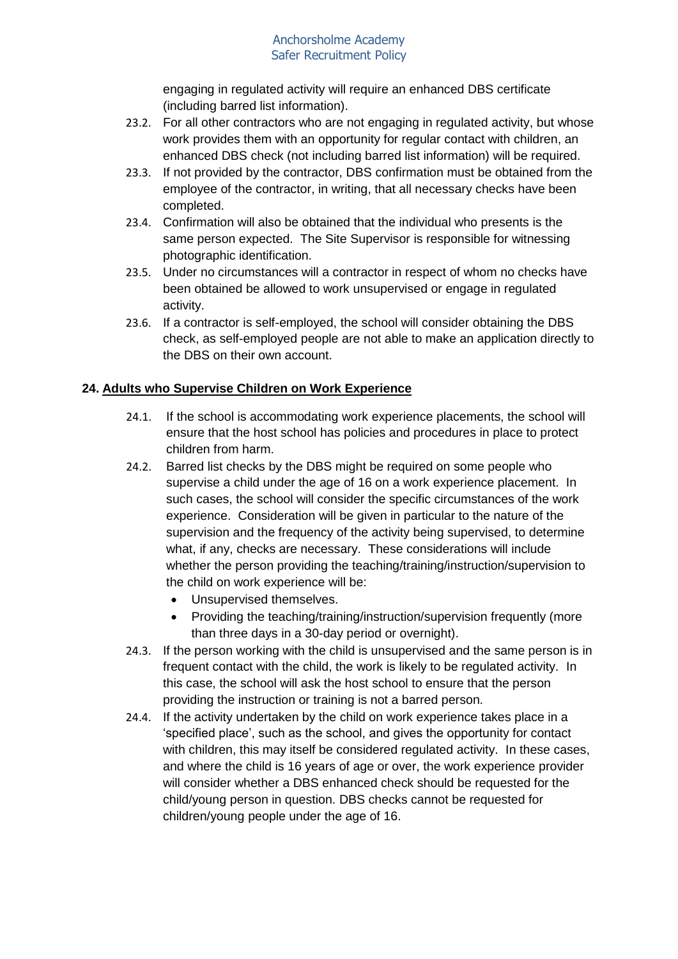engaging in regulated activity will require an enhanced DBS certificate (including barred list information).

- 23.2. For all other contractors who are not engaging in regulated activity, but whose work provides them with an opportunity for regular contact with children, an enhanced DBS check (not including barred list information) will be required.
- 23.3. If not provided by the contractor, DBS confirmation must be obtained from the employee of the contractor, in writing, that all necessary checks have been completed.
- 23.4. Confirmation will also be obtained that the individual who presents is the same person expected. The Site Supervisor is responsible for witnessing photographic identification.
- 23.5. Under no circumstances will a contractor in respect of whom no checks have been obtained be allowed to work unsupervised or engage in regulated activity.
- 23.6. If a contractor is self-employed, the school will consider obtaining the DBS check, as self-employed people are not able to make an application directly to the DBS on their own account.

# **24. Adults who Supervise Children on Work Experience**

- 24.1. If the school is accommodating work experience placements, the school will ensure that the host school has policies and procedures in place to protect children from harm.
- 24.2. Barred list checks by the DBS might be required on some people who supervise a child under the age of 16 on a work experience placement. In such cases, the school will consider the specific circumstances of the work experience. Consideration will be given in particular to the nature of the supervision and the frequency of the activity being supervised, to determine what, if any, checks are necessary. These considerations will include whether the person providing the teaching/training/instruction/supervision to the child on work experience will be:
	- Unsupervised themselves.
	- Providing the teaching/training/instruction/supervision frequently (more than three days in a 30-day period or overnight).
- 24.3. If the person working with the child is unsupervised and the same person is in frequent contact with the child, the work is likely to be regulated activity. In this case, the school will ask the host school to ensure that the person providing the instruction or training is not a barred person.
- 24.4. If the activity undertaken by the child on work experience takes place in a 'specified place', such as the school, and gives the opportunity for contact with children, this may itself be considered regulated activity. In these cases, and where the child is 16 years of age or over, the work experience provider will consider whether a DBS enhanced check should be requested for the child/young person in question. DBS checks cannot be requested for children/young people under the age of 16.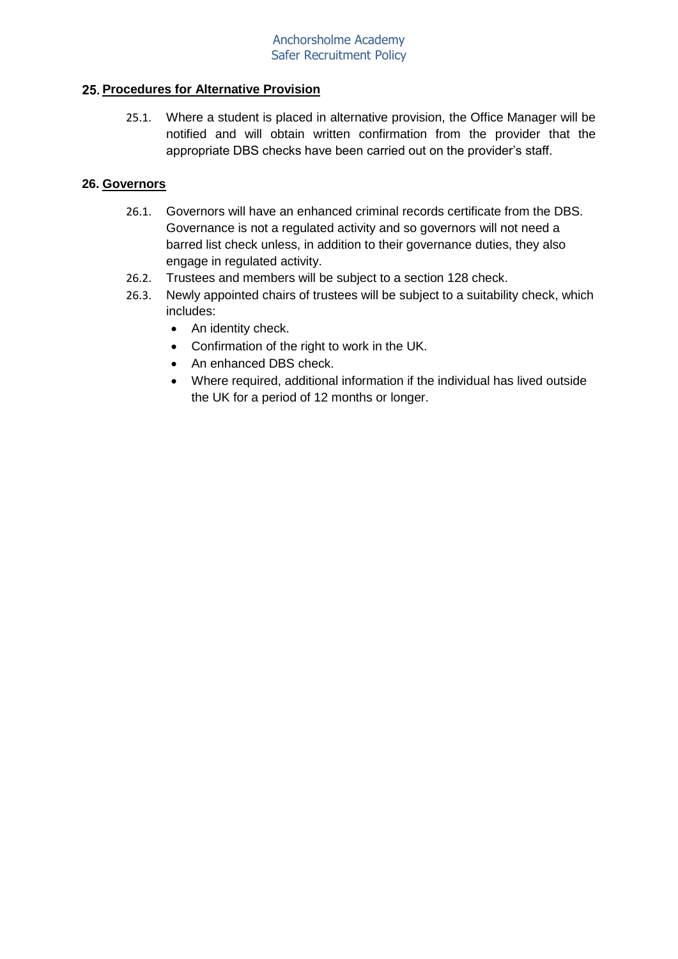## **Procedures for Alternative Provision**

25.1. Where a student is placed in alternative provision, the Office Manager will be notified and will obtain written confirmation from the provider that the appropriate DBS checks have been carried out on the provider's staff.

## **26. Governors**

- 26.1. Governors will have an enhanced criminal records certificate from the DBS. Governance is not a regulated activity and so governors will not need a barred list check unless, in addition to their governance duties, they also engage in regulated activity.
- 26.2. Trustees and members will be subject to a section 128 check.
- 26.3. Newly appointed chairs of trustees will be subject to a suitability check, which includes:
	- An identity check.
	- Confirmation of the right to work in the UK.
	- An enhanced DBS check.
	- Where required, additional information if the individual has lived outside the UK for a period of 12 months or longer.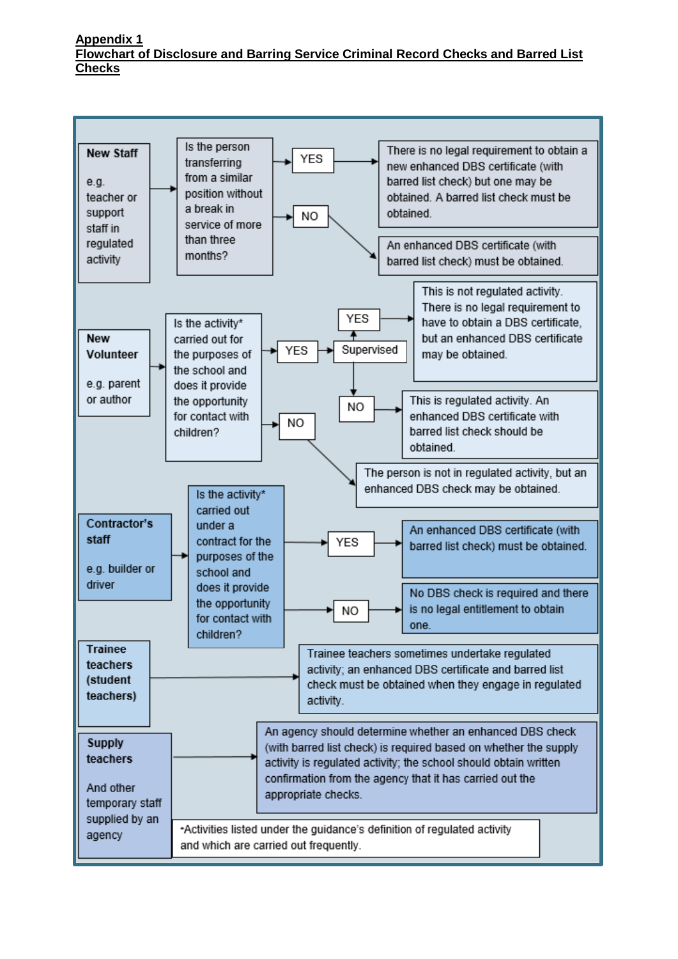#### **Appendix 1 Flowchart of Disclosure and Barring Service Criminal Record Checks and Barred List Checks**

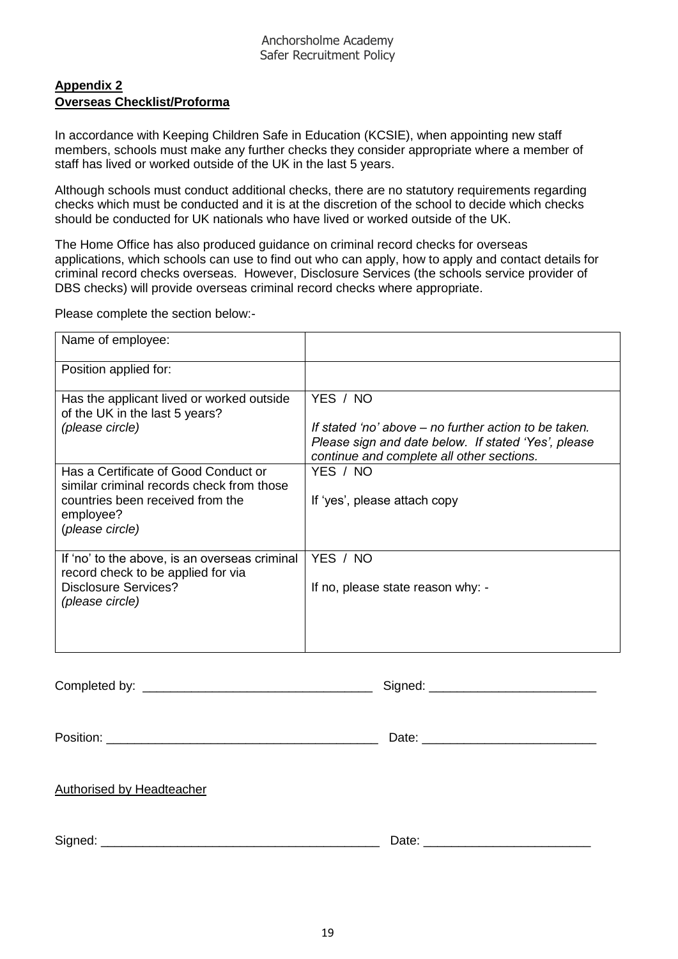## **Appendix 2 Overseas Checklist/Proforma**

In accordance with Keeping Children Safe in Education (KCSIE), when appointing new staff members, schools must make any further checks they consider appropriate where a member of staff has lived or worked outside of the UK in the last 5 years.

Although schools must conduct additional checks, there are no statutory requirements regarding checks which must be conducted and it is at the discretion of the school to decide which checks should be conducted for UK nationals who have lived or worked outside of the UK.

The Home Office has also produced guidance on criminal record checks for overseas applications, which schools can use to find out who can apply, how to apply and contact details for criminal record checks overseas. However, Disclosure Services (the schools service provider of DBS checks) will provide overseas criminal record checks where appropriate.

Please complete the section below:-

| Name of employee:                                                                   |                                                                                                                                                           |
|-------------------------------------------------------------------------------------|-----------------------------------------------------------------------------------------------------------------------------------------------------------|
| Position applied for:                                                               |                                                                                                                                                           |
| Has the applicant lived or worked outside<br>of the UK in the last 5 years?         | YES / NO                                                                                                                                                  |
| (please circle)                                                                     | If stated 'no' above – no further action to be taken.<br>Please sign and date below. If stated 'Yes', please<br>continue and complete all other sections. |
| Has a Certificate of Good Conduct or<br>similar criminal records check from those   | YES / NO                                                                                                                                                  |
| countries been received from the<br>employee?<br>(please circle)                    | If 'yes', please attach copy                                                                                                                              |
| If 'no' to the above, is an overseas criminal<br>record check to be applied for via | YES / NO                                                                                                                                                  |
| Disclosure Services?<br>(please circle)                                             | If no, please state reason why: -                                                                                                                         |
|                                                                                     |                                                                                                                                                           |

Completed by: <br>
example the state of the state of the Signed:  $\Box$  Signed:  $\Box$  and  $\Box$  and  $\Box$  and  $\Box$  and  $\Box$  and  $\Box$  and  $\Box$  and  $\Box$  and  $\Box$  and  $\Box$  and  $\Box$  and  $\Box$  and  $\Box$  and  $\Box$  and  $\Box$  and  $\Box$  and  $\Box$ 

Position: \_\_\_\_\_\_\_\_\_\_\_\_\_\_\_\_\_\_\_\_\_\_\_\_\_\_\_\_\_\_\_\_\_\_\_\_\_\_\_ Date: \_\_\_\_\_\_\_\_\_\_\_\_\_\_\_\_\_\_\_\_\_\_\_\_\_

|--|

Signed: \_\_\_\_\_\_\_\_\_\_\_\_\_\_\_\_\_\_\_\_\_\_\_\_\_\_\_\_\_\_\_\_\_\_\_\_\_\_\_\_ Date: \_\_\_\_\_\_\_\_\_\_\_\_\_\_\_\_\_\_\_\_\_\_\_\_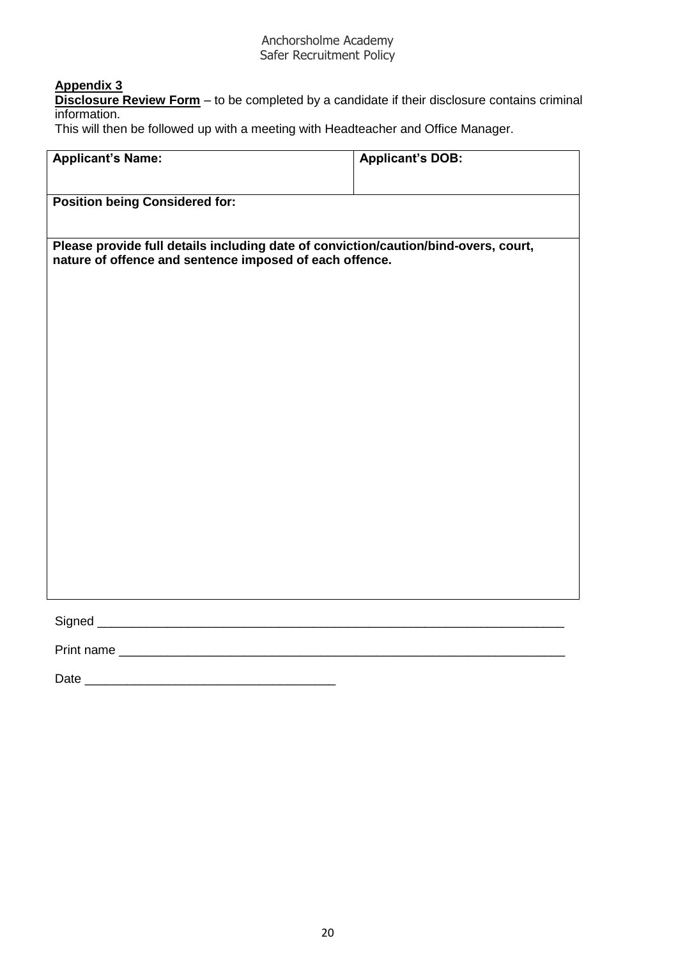## **Appendix 3**

**Disclosure Review Form** – to be completed by a candidate if their disclosure contains criminal information.

This will then be followed up with a meeting with Headteacher and Office Manager.

| <b>Applicant's Name:</b>                                | <b>Applicant's DOB:</b>                                                             |
|---------------------------------------------------------|-------------------------------------------------------------------------------------|
| <b>Position being Considered for:</b>                   |                                                                                     |
| nature of offence and sentence imposed of each offence. | Please provide full details including date of conviction/caution/bind-overs, court, |
|                                                         |                                                                                     |
|                                                         |                                                                                     |
|                                                         |                                                                                     |
|                                                         |                                                                                     |
|                                                         |                                                                                     |
|                                                         |                                                                                     |
|                                                         |                                                                                     |
|                                                         |                                                                                     |
| Print name                                              |                                                                                     |

Date \_\_\_\_\_\_\_\_\_\_\_\_\_\_\_\_\_\_\_\_\_\_\_\_\_\_\_\_\_\_\_\_\_\_\_\_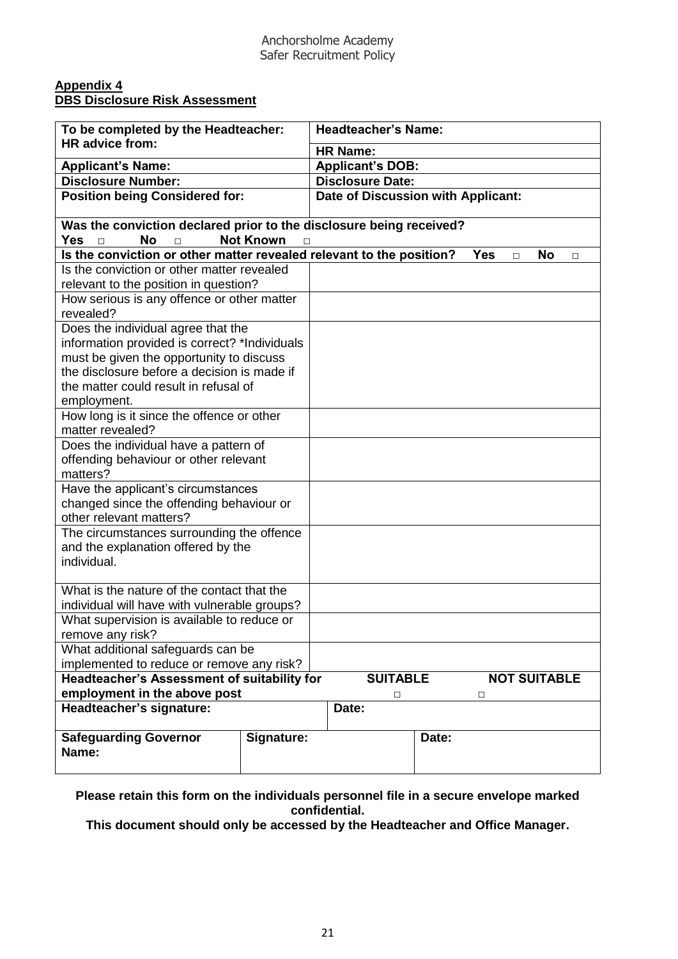#### **Appendix 4 DBS Disclosure Risk Assessment**

| To be completed by the Headteacher:                                                                         |                       | <b>Headteacher's Name:</b>         |       |                      |                     |  |  |
|-------------------------------------------------------------------------------------------------------------|-----------------------|------------------------------------|-------|----------------------|---------------------|--|--|
| HR advice from:                                                                                             |                       | <b>HR Name:</b>                    |       |                      |                     |  |  |
| <b>Applicant's Name:</b>                                                                                    |                       | <b>Applicant's DOB:</b>            |       |                      |                     |  |  |
| <b>Disclosure Number:</b>                                                                                   |                       | <b>Disclosure Date:</b>            |       |                      |                     |  |  |
| <b>Position being Considered for:</b>                                                                       |                       | Date of Discussion with Applicant: |       |                      |                     |  |  |
| Was the conviction declared prior to the disclosure being received?<br>Yes<br><b>No</b><br>$\Box$<br>$\Box$ | <b>Not Known</b><br>П |                                    |       |                      |                     |  |  |
| Is the conviction or other matter revealed relevant to the position?                                        |                       |                                    |       | <b>Yes</b><br>$\Box$ | <b>No</b><br>□      |  |  |
| Is the conviction or other matter revealed<br>relevant to the position in question?                         |                       |                                    |       |                      |                     |  |  |
| How serious is any offence or other matter<br>revealed?                                                     |                       |                                    |       |                      |                     |  |  |
| Does the individual agree that the                                                                          |                       |                                    |       |                      |                     |  |  |
| information provided is correct? *Individuals                                                               |                       |                                    |       |                      |                     |  |  |
| must be given the opportunity to discuss                                                                    |                       |                                    |       |                      |                     |  |  |
| the disclosure before a decision is made if                                                                 |                       |                                    |       |                      |                     |  |  |
| the matter could result in refusal of                                                                       |                       |                                    |       |                      |                     |  |  |
| employment.                                                                                                 |                       |                                    |       |                      |                     |  |  |
| How long is it since the offence or other<br>matter revealed?                                               |                       |                                    |       |                      |                     |  |  |
| Does the individual have a pattern of                                                                       |                       |                                    |       |                      |                     |  |  |
| offending behaviour or other relevant                                                                       |                       |                                    |       |                      |                     |  |  |
| matters?                                                                                                    |                       |                                    |       |                      |                     |  |  |
| Have the applicant's circumstances                                                                          |                       |                                    |       |                      |                     |  |  |
| changed since the offending behaviour or                                                                    |                       |                                    |       |                      |                     |  |  |
| other relevant matters?                                                                                     |                       |                                    |       |                      |                     |  |  |
| The circumstances surrounding the offence                                                                   |                       |                                    |       |                      |                     |  |  |
| and the explanation offered by the                                                                          |                       |                                    |       |                      |                     |  |  |
| individual.                                                                                                 |                       |                                    |       |                      |                     |  |  |
| What is the nature of the contact that the                                                                  |                       |                                    |       |                      |                     |  |  |
| individual will have with vulnerable groups?                                                                |                       |                                    |       |                      |                     |  |  |
| What supervision is available to reduce or                                                                  |                       |                                    |       |                      |                     |  |  |
| remove any risk?                                                                                            |                       |                                    |       |                      |                     |  |  |
| What additional safeguards can be                                                                           |                       |                                    |       |                      |                     |  |  |
| implemented to reduce or remove any risk?                                                                   |                       |                                    |       |                      |                     |  |  |
| Headteacher's Assessment of suitability for                                                                 |                       | <b>SUITABLE</b>                    |       |                      | <b>NOT SUITABLE</b> |  |  |
| employment in the above post                                                                                |                       | □                                  |       | □                    |                     |  |  |
| Headteacher's signature:                                                                                    |                       | Date:                              |       |                      |                     |  |  |
| <b>Safeguarding Governor</b><br>Name:                                                                       | Signature:            |                                    | Date: |                      |                     |  |  |

**Please retain this form on the individuals personnel file in a secure envelope marked confidential.** 

**This document should only be accessed by the Headteacher and Office Manager.**